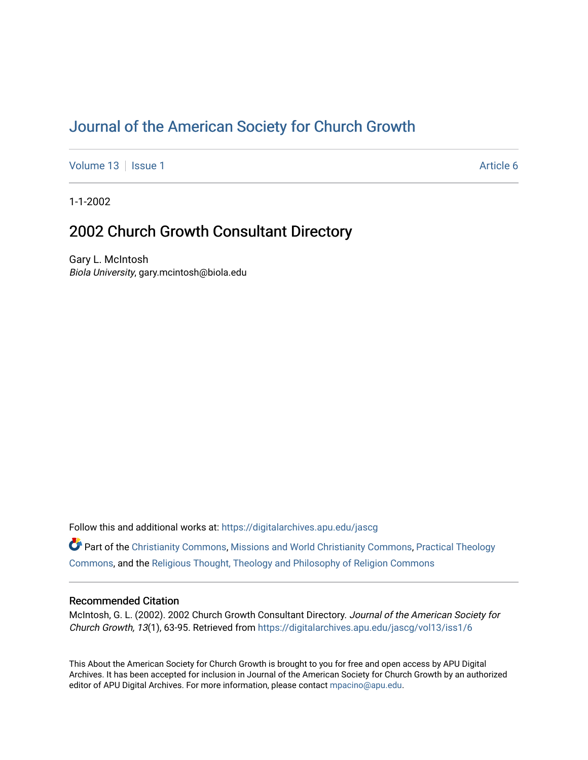# [Journal of the American Society for Church Growth](https://digitalarchives.apu.edu/jascg)

[Volume 13](https://digitalarchives.apu.edu/jascg/vol13) | [Issue 1](https://digitalarchives.apu.edu/jascg/vol13/iss1) Article 6

1-1-2002

# 2002 Church Growth Consultant Directory

Gary L. McIntosh Biola University, gary.mcintosh@biola.edu

Follow this and additional works at: [https://digitalarchives.apu.edu/jascg](https://digitalarchives.apu.edu/jascg?utm_source=digitalarchives.apu.edu%2Fjascg%2Fvol13%2Fiss1%2F6&utm_medium=PDF&utm_campaign=PDFCoverPages) 

Part of the [Christianity Commons,](http://network.bepress.com/hgg/discipline/1181?utm_source=digitalarchives.apu.edu%2Fjascg%2Fvol13%2Fiss1%2F6&utm_medium=PDF&utm_campaign=PDFCoverPages) [Missions and World Christianity Commons](http://network.bepress.com/hgg/discipline/1187?utm_source=digitalarchives.apu.edu%2Fjascg%2Fvol13%2Fiss1%2F6&utm_medium=PDF&utm_campaign=PDFCoverPages), [Practical Theology](http://network.bepress.com/hgg/discipline/1186?utm_source=digitalarchives.apu.edu%2Fjascg%2Fvol13%2Fiss1%2F6&utm_medium=PDF&utm_campaign=PDFCoverPages)  [Commons](http://network.bepress.com/hgg/discipline/1186?utm_source=digitalarchives.apu.edu%2Fjascg%2Fvol13%2Fiss1%2F6&utm_medium=PDF&utm_campaign=PDFCoverPages), and the [Religious Thought, Theology and Philosophy of Religion Commons](http://network.bepress.com/hgg/discipline/544?utm_source=digitalarchives.apu.edu%2Fjascg%2Fvol13%2Fiss1%2F6&utm_medium=PDF&utm_campaign=PDFCoverPages) 

## Recommended Citation

McIntosh, G. L. (2002). 2002 Church Growth Consultant Directory. Journal of the American Society for Church Growth, 13(1), 63-95. Retrieved from [https://digitalarchives.apu.edu/jascg/vol13/iss1/6](https://digitalarchives.apu.edu/jascg/vol13/iss1/6?utm_source=digitalarchives.apu.edu%2Fjascg%2Fvol13%2Fiss1%2F6&utm_medium=PDF&utm_campaign=PDFCoverPages)

This About the American Society for Church Growth is brought to you for free and open access by APU Digital Archives. It has been accepted for inclusion in Journal of the American Society for Church Growth by an authorized editor of APU Digital Archives. For more information, please contact [mpacino@apu.edu.](mailto:mpacino@apu.edu)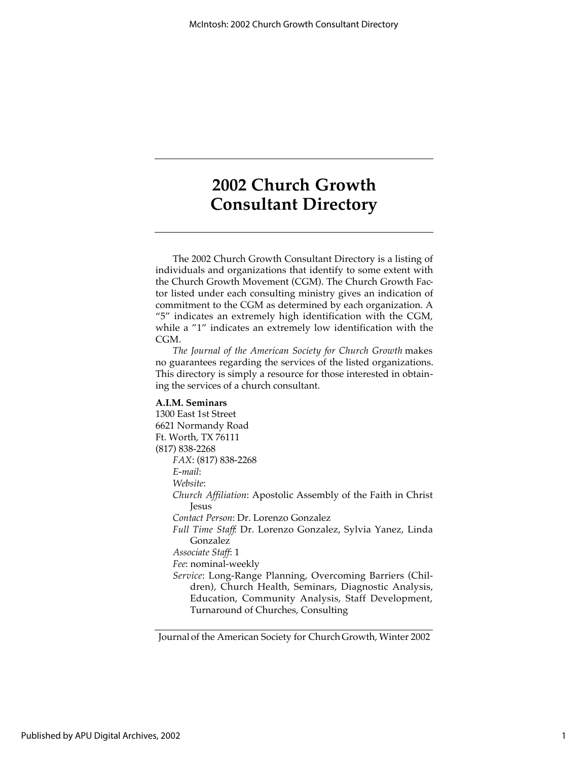The 2002 Church Growth Consultant Directory is a listing of individuals and organizations that identify to some extent with the Church Growth Movement (CGM). The Church Growth Factor listed under each consulting ministry gives an indication of commitment to the CGM as determined by each organization. A "5" indicates an extremely high identification with the CGM, while a "1" indicates an extremely low identification with the CGM.

*The Journal of the American Society for Church Growth* makes no guarantees regarding the services of the listed organizations. This directory is simply a resource for those interested in obtaining the services of a church consultant.

#### **A.I.M. Seminars**

1300 East 1st Street 6621 Normandy Road Ft. Worth, TX 76111 (817) 838-2268 *FAX*: (817) 838-2268 *E-mail*: *Website*: *Church Affiliation*: Apostolic Assembly of the Faith in Christ Jesus *Contact Person*: Dr. Lorenzo Gonzalez *Full Time Staff*: Dr. Lorenzo Gonzalez, Sylvia Yanez, Linda Gonzalez *Associate Staff*: 1 *Fee*: nominal-weekly *Service*: Long-Range Planning, Overcoming Barriers (Children), Church Health, Seminars, Diagnostic Analysis, Education, Community Analysis, Staff Development, Turnaround of Churches, Consulting

Journal of the American Society for Church Growth, Winter 2002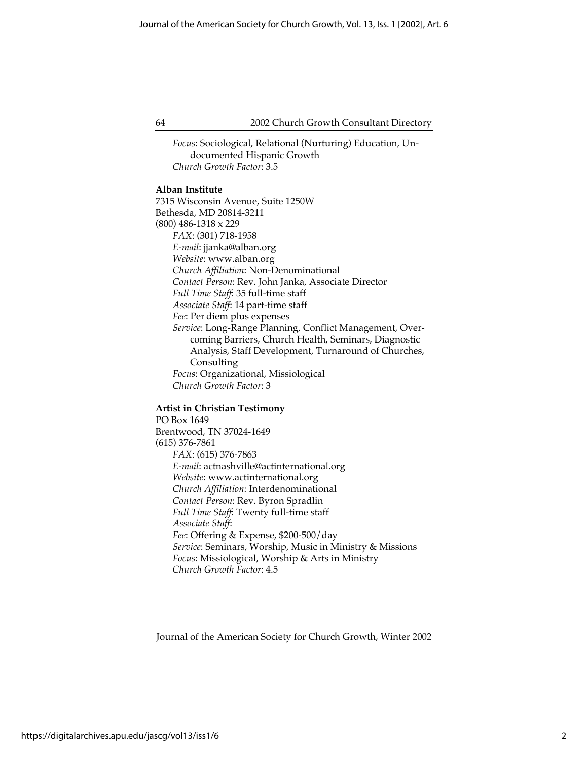*Focus*: Sociological, Relational (Nurturing) Education, Undocumented Hispanic Growth *Church Growth Factor*: 3.5

## **Alban Institute**

7315 Wisconsin Avenue, Suite 1250W Bethesda, MD 20814-3211 (800) 486-1318 x 229 *FAX*: (301) 718-1958 *E-mail*: jjanka@alban.org *Website*: www.alban.org *Church Affiliation*: Non-Denominational *Contact Person*: Rev. John Janka, Associate Director *Full Time Staff*: 35 full-time staff *Associate Staff*: 14 part-time staff *Fee*: Per diem plus expenses *Service*: Long-Range Planning, Conflict Management, Overcoming Barriers, Church Health, Seminars, Diagnostic Analysis, Staff Development, Turnaround of Churches, Consulting *Focus*: Organizational, Missiological *Church Growth Factor*: 3

#### **Artist in Christian Testimony**

PO Box 1649 Brentwood, TN 37024-1649 (615) 376-7861 *FAX*: (615) 376-7863 *E-mail*: actnashville@actinternational.org *Website*: www.actinternational.org *Church Affiliation*: Interdenominational *Contact Person*: Rev. Byron Spradlin *Full Time Staff*: Twenty full-time staff *Associate Staff*: *Fee*: Offering & Expense, \$200-500/day *Service*: Seminars, Worship, Music in Ministry & Missions *Focus*: Missiological, Worship & Arts in Ministry *Church Growth Factor*: 4.5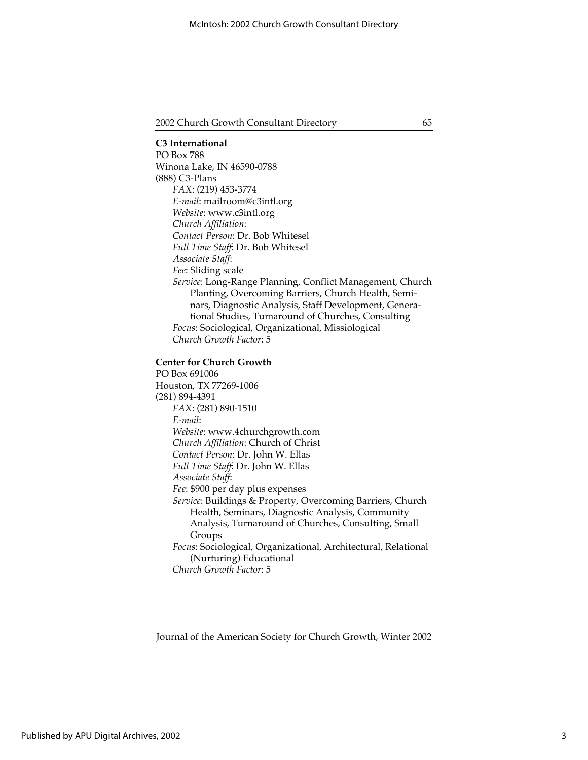**C3 International** PO Box 788 Winona Lake, IN 46590-0788 (888) C3-Plans *FAX*: (219) 453-3774 *E-mail*: mailroom@c3intl.org *Website*: www.c3intl.org *Church Affiliation*: *Contact Person*: Dr. Bob Whitesel *Full Time Staff*: Dr. Bob Whitesel *Associate Staff*: *Fee*: Sliding scale *Service*: Long-Range Planning, Conflict Management, Church Planting, Overcoming Barriers, Church Health, Seminars, Diagnostic Analysis, Staff Development, Generational Studies, Turnaround of Churches, Consulting *Focus*: Sociological, Organizational, Missiological *Church Growth Factor*: 5

#### **Center for Church Growth**

PO Box 691006 Houston, TX 77269-1006 (281) 894-4391 *FAX*: (281) 890-1510 *E-mail*: *Website*: www.4churchgrowth.com *Church Affiliation*: Church of Christ *Contact Person*: Dr. John W. Ellas *Full Time Staff*: Dr. John W. Ellas *Associate Staff*: *Fee*: \$900 per day plus expenses *Service*: Buildings & Property, Overcoming Barriers, Church Health, Seminars, Diagnostic Analysis, Community Analysis, Turnaround of Churches, Consulting, Small Groups *Focus*: Sociological, Organizational, Architectural, Relational (Nurturing) Educational *Church Growth Factor*: 5

Journal of the American Society for Church Growth, Winter 2002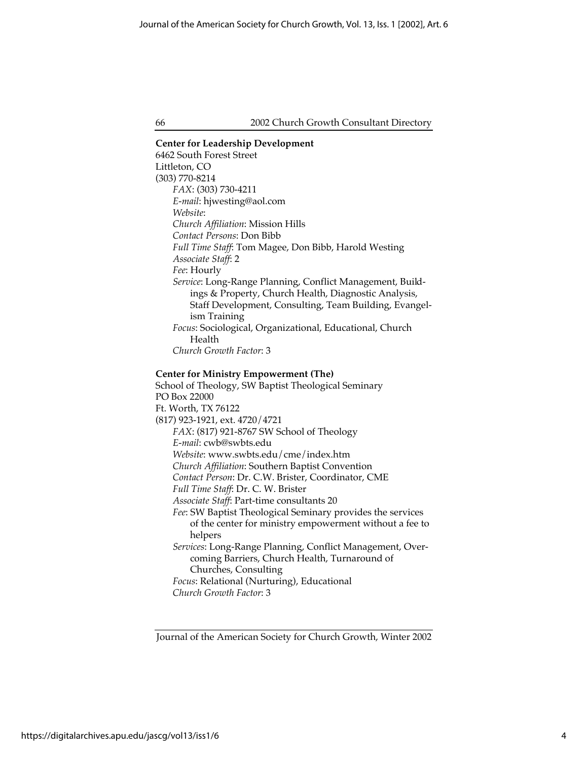**Center for Leadership Development** 6462 South Forest Street Littleton, CO (303) 770-8214 *FAX*: (303) 730-4211 *E-mail*: hjwesting@aol.com *Website*: *Church Affiliation*: Mission Hills *Contact Persons*: Don Bibb *Full Time Staff*: Tom Magee, Don Bibb, Harold Westing *Associate Staff*: 2 *Fee*: Hourly *Service*: Long-Range Planning, Conflict Management, Buildings & Property, Church Health, Diagnostic Analysis, Staff Development, Consulting, Team Building, Evangelism Training *Focus*: Sociological, Organizational, Educational, Church Health *Church Growth Factor*: 3 **Center for Ministry Empowerment (The)** School of Theology, SW Baptist Theological Seminary PO Box 22000 Ft. Worth, TX 76122 (817) 923-1921, ext. 4720/4721 *FAX*: (817) 921-8767 SW School of Theology *E-mail*: cwb@swbts.edu *Website*: www.swbts.edu/cme/index.htm *Church Affiliation*: Southern Baptist Convention *Contact Person*: Dr. C.W. Brister, Coordinator, CME

*Full Time Staff*: Dr. C. W. Brister

*Associate Staff*: Part-time consultants 20

*Fee*: SW Baptist Theological Seminary provides the services of the center for ministry empowerment without a fee to helpers

*Services*: Long-Range Planning, Conflict Management, Overcoming Barriers, Church Health, Turnaround of Churches, Consulting *Focus*: Relational (Nurturing), Educational

*Church Growth Factor*: 3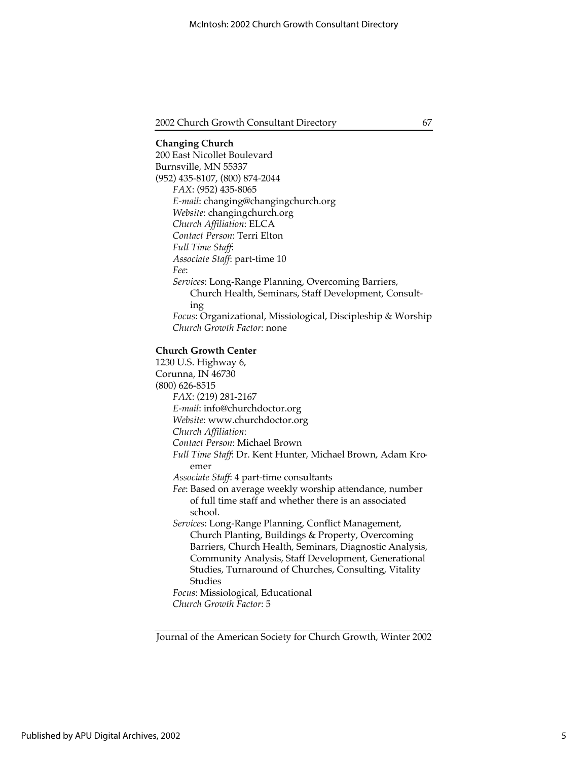## **Changing Church** 200 East Nicollet Boulevard Burnsville, MN 55337 (952) 435-8107, (800) 874-2044 *FAX*: (952) 435-8065 *E-mail*: changing@changingchurch.org *Website*: changingchurch.org *Church Affiliation*: ELCA *Contact Person*: Terri Elton *Full Time Staff*: *Associate Staff*: part-time 10 *Fee*: *Services*: Long-Range Planning, Overcoming Barriers, Church Health, Seminars, Staff Development, Consulting *Focus*: Organizational, Missiological, Discipleship & Worship *Church Growth Factor*: none **Church Growth Center** 1230 U.S. Highway 6,

Corunna, IN 46730 (800) 626-8515 *FAX*: (219) 281-2167 *E-mail*: info@churchdoctor.org *Website*: www.churchdoctor.org *Church Affiliation*: *Contact Person*: Michael Brown *Full Time Staff*: Dr. Kent Hunter, Michael Brown, Adam Kroemer *Associate Staff*: 4 part-time consultants *Fee*: Based on average weekly worship attendance, number of full time staff and whether there is an associated school. *Services*: Long-Range Planning, Conflict Management, Church Planting, Buildings & Property, Overcoming Barriers, Church Health, Seminars, Diagnostic Analysis, Community Analysis, Staff Development, Generational Studies, Turnaround of Churches, Consulting, Vitality Studies *Focus*: Missiological, Educational

*Church Growth Factor*: 5

Journal of the American Society for Church Growth, Winter 2002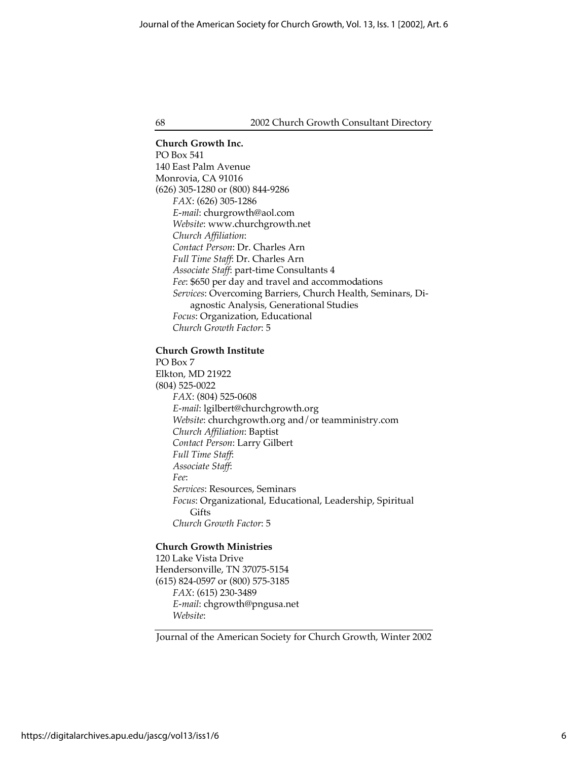**Church Growth Inc.** PO Box 541 140 East Palm Avenue Monrovia, CA 91016 (626) 305-1280 or (800) 844-9286 *FAX*: (626) 305-1286 *E-mail*: churgrowth@aol.com *Website*: www.churchgrowth.net *Church Affiliation*: *Contact Person*: Dr. Charles Arn *Full Time Staff*: Dr. Charles Arn *Associate Staff*: part-time Consultants 4 *Fee*: \$650 per day and travel and accommodations *Services*: Overcoming Barriers, Church Health, Seminars, Diagnostic Analysis, Generational Studies *Focus*: Organization, Educational *Church Growth Factor*: 5

## **Church Growth Institute**

PO Box 7 Elkton, MD 21922 (804) 525-0022 *FAX*: (804) 525-0608 *E-mail*: lgilbert@churchgrowth.org *Website*: churchgrowth.org and/or teamministry.com *Church Affiliation*: Baptist *Contact Person*: Larry Gilbert *Full Time Staff*: *Associate Staff*: *Fee*: *Services*: Resources, Seminars *Focus*: Organizational, Educational, Leadership, Spiritual **Gifts** *Church Growth Factor*: 5

#### **Church Growth Ministries**

120 Lake Vista Drive Hendersonville, TN 37075-5154 (615) 824-0597 or (800) 575-3185 *FAX*: (615) 230-3489 *E-mail*: chgrowth@pngusa.net *Website*: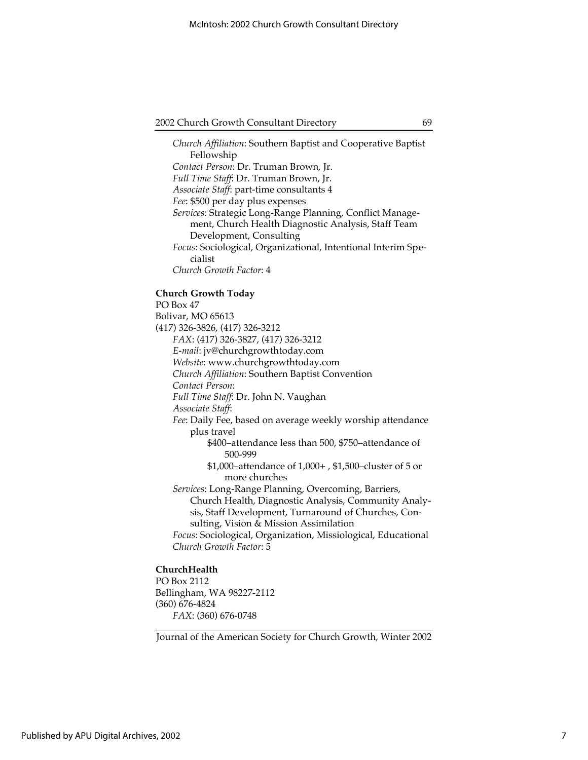*Church Affiliation*: Southern Baptist and Cooperative Baptist Fellowship *Contact Person*: Dr. Truman Brown, Jr. *Full Time Staff*: Dr. Truman Brown, Jr. *Associate Staff*: part-time consultants 4 *Fee*: \$500 per day plus expenses *Services*: Strategic Long-Range Planning, Conflict Management, Church Health Diagnostic Analysis, Staff Team Development, Consulting *Focus*: Sociological, Organizational, Intentional Interim Specialist *Church Growth Factor*: 4 **Church Growth Today** PO Box 47 Bolivar, MO 65613 (417) 326-3826, (417) 326-3212 *FAX*: (417) 326-3827, (417) 326-3212 *E-mail*: jv@churchgrowthtoday.com *Website*: www.churchgrowthtoday.com *Church Affiliation*: Southern Baptist Convention *Contact Person*: *Full Time Staff*: Dr. John N. Vaughan *Associate Staff*: *Fee*: Daily Fee, based on average weekly worship attendance plus travel \$400–attendance less than 500, \$750–attendance of 500-999 \$1,000–attendance of 1,000+ , \$1,500–cluster of 5 or more churches *Services*: Long-Range Planning, Overcoming, Barriers, Church Health, Diagnostic Analysis, Community Analysis, Staff Development, Turnaround of Churches, Consulting, Vision & Mission Assimilation *Focus*: Sociological, Organization, Missiological, Educational *Church Growth Factor*: 5

## **ChurchHealth**

PO Box 2112 Bellingham, WA 98227-2112 (360) 676-4824 *FAX*: (360) 676-0748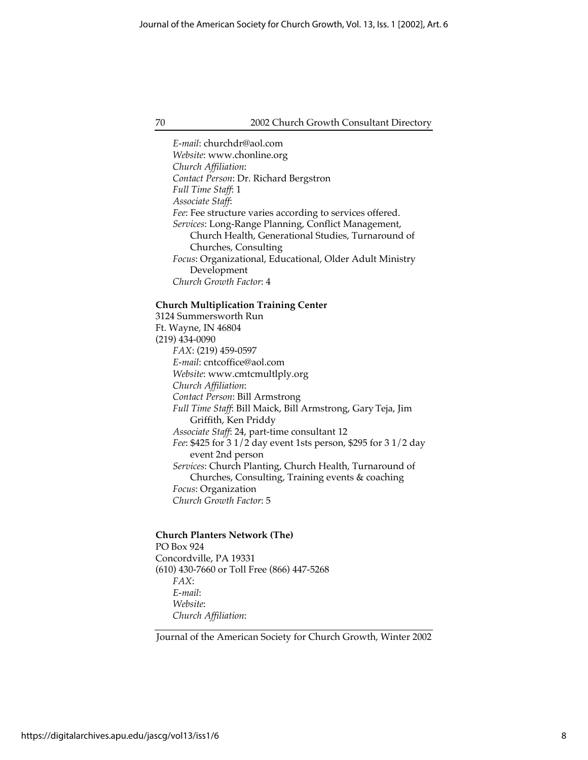*E-mail*: churchdr@aol.com *Website*: www.chonline.org *Church Affiliation*: *Contact Person*: Dr. Richard Bergstron *Full Time Staff*: 1 *Associate Staff*: *Fee*: Fee structure varies according to services offered. *Services*: Long-Range Planning, Conflict Management, Church Health, Generational Studies, Turnaround of Churches, Consulting *Focus*: Organizational, Educational, Older Adult Ministry Development *Church Growth Factor*: 4

### **Church Multiplication Training Center**

3124 Summersworth Run Ft. Wayne, IN 46804 (219) 434-0090 *FAX*: (219) 459-0597 *E-mail*: cntcoffice@aol.com *Website*: www.cmtcmultlply.org *Church Affiliation*: *Contact Person*: Bill Armstrong *Full Time Staff*: Bill Maick, Bill Armstrong, Gary Teja, Jim Griffith, Ken Priddy *Associate Staff*: 24, part-time consultant 12 *Fee*: \$425 for 3 1/2 day event 1sts person, \$295 for 3 1/2 day event 2nd person *Services*: Church Planting, Church Health, Turnaround of Churches, Consulting, Training events & coaching *Focus*: Organization *Church Growth Factor*: 5

## **Church Planters Network (The)** PO Box 924 Concordville, PA 19331 (610) 430-7660 or Toll Free (866) 447-5268

*FAX*: *E-mail*: *Website*: *Church Affiliation*:

Journal of the American Society for Church Growth, Winter 2002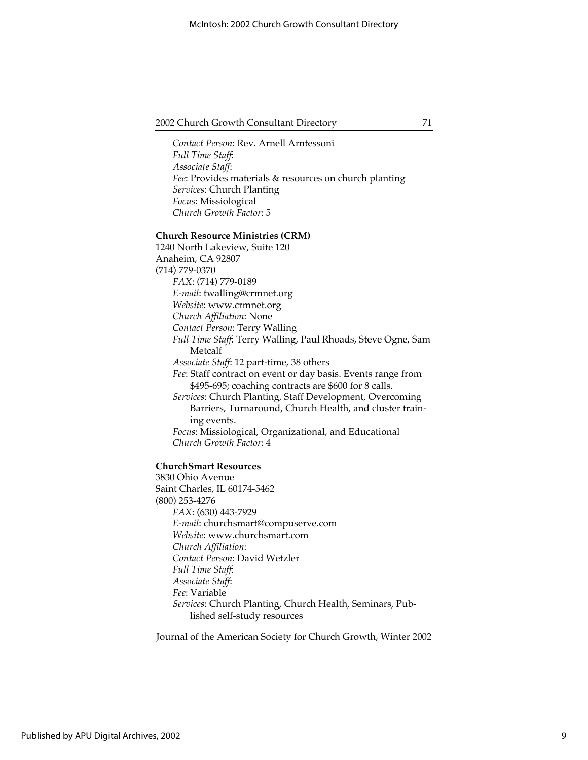*Contact Person*: Rev. Arnell Arntessoni *Full Time Staff*: *Associate Staff*: *Fee*: Provides materials & resources on church planting *Services*: Church Planting *Focus*: Missiological *Church Growth Factor*: 5

#### **Church Resource Ministries (CRM)**

1240 North Lakeview, Suite 120 Anaheim, CA 92807 (714) 779-0370 *FAX*: (714) 779-0189 *E-mail*: twalling@crmnet.org *Website*: www.crmnet.org *Church Affiliation*: None *Contact Person*: Terry Walling *Full Time Staff*: Terry Walling, Paul Rhoads, Steve Ogne, Sam Metcalf *Associate Staff*: 12 part-time, 38 others *Fee*: Staff contract on event or day basis. Events range from \$495-695; coaching contracts are \$600 for 8 calls. *Services*: Church Planting, Staff Development, Overcoming Barriers, Turnaround, Church Health, and cluster training events. *Focus*: Missiological, Organizational, and Educational *Church Growth Factor*: 4

#### **ChurchSmart Resources**

3830 Ohio Avenue Saint Charles, IL 60174-5462 (800) 253-4276 *FAX*: (630) 443-7929 *E-mail*: churchsmart@compuserve.com *Website*: www.churchsmart.com *Church Affiliation*: *Contact Person*: David Wetzler *Full Time Staff*: *Associate Staff*: *Fee*: Variable *Services*: Church Planting, Church Health, Seminars, Published self-study resources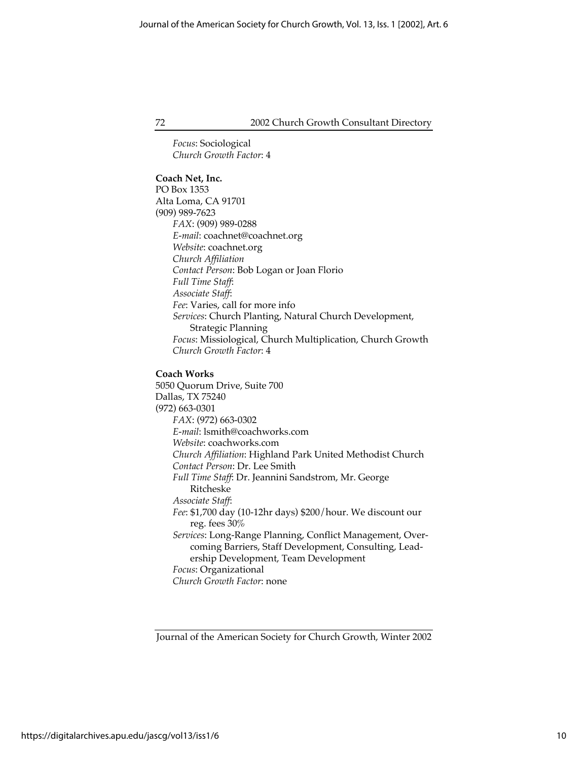*Focus*: Sociological *Church Growth Factor*: 4

## **Coach Net, Inc.**

PO Box 1353 Alta Loma, CA 91701 (909) 989-7623 *FAX*: (909) 989-0288 *E-mail*: coachnet@coachnet.org *Website*: coachnet.org *Church Affiliation Contact Person*: Bob Logan or Joan Florio *Full Time Staff*: *Associate Staff*: *Fee*: Varies, call for more info *Services*: Church Planting, Natural Church Development, Strategic Planning *Focus*: Missiological, Church Multiplication, Church Growth *Church Growth Factor*: 4

#### **Coach Works**

5050 Quorum Drive, Suite 700 Dallas, TX 75240 (972) 663-0301 *FAX*: (972) 663-0302 *E-mail*: lsmith@coachworks.com *Website*: coachworks.com *Church Affiliation*: Highland Park United Methodist Church *Contact Person*: Dr. Lee Smith *Full Time Staff*: Dr. Jeannini Sandstrom, Mr. George Ritcheske *Associate Staff*: *Fee*: \$1,700 day (10-12hr days) \$200/hour. We discount our reg. fees 30% *Services*: Long-Range Planning, Conflict Management, Overcoming Barriers, Staff Development, Consulting, Leadership Development, Team Development *Focus*: Organizational *Church Growth Factor*: none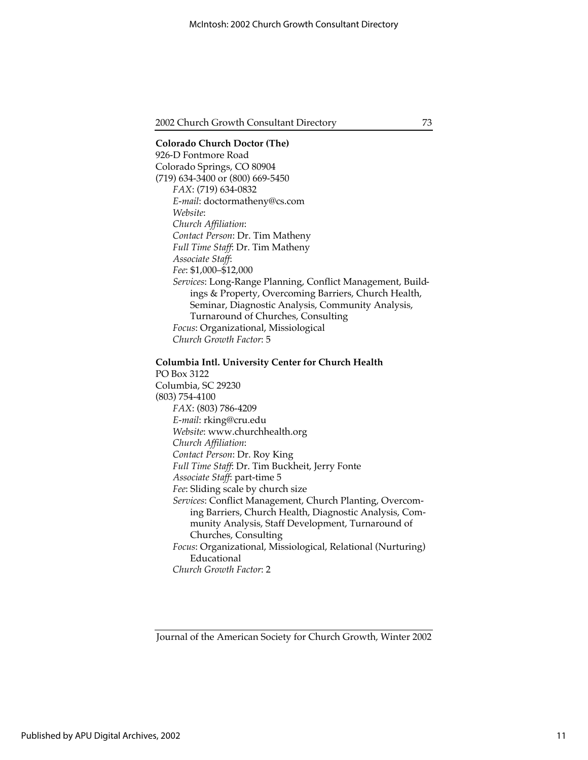## **Colorado Church Doctor (The)** 926-D Fontmore Road Colorado Springs, CO 80904 (719) 634-3400 or (800) 669-5450 *FAX*: (719) 634-0832 *E-mail*: doctormatheny@cs.com *Website*: *Church Affiliation*: *Contact Person*: Dr. Tim Matheny *Full Time Staff*: Dr. Tim Matheny *Associate Staff*: *Fee*: \$1,000–\$12,000 *Services*: Long-Range Planning, Conflict Management, Buildings & Property, Overcoming Barriers, Church Health, Seminar, Diagnostic Analysis, Community Analysis, Turnaround of Churches, Consulting *Focus*: Organizational, Missiological *Church Growth Factor*: 5

#### **Columbia Intl. University Center for Church Health**

PO Box 3122 Columbia, SC 29230 (803) 754-4100 *FAX*: (803) 786-4209 *E-mail*: rking@cru.edu *Website*: www.churchhealth.org *Church Affiliation*: *Contact Person*: Dr. Roy King *Full Time Staff*: Dr. Tim Buckheit, Jerry Fonte *Associate Staff*: part-time 5 *Fee*: Sliding scale by church size *Services*: Conflict Management, Church Planting, Overcoming Barriers, Church Health, Diagnostic Analysis, Community Analysis, Staff Development, Turnaround of Churches, Consulting *Focus*: Organizational, Missiological, Relational (Nurturing) Educational *Church Growth Factor*: 2

Journal of the American Society for Church Growth, Winter 2002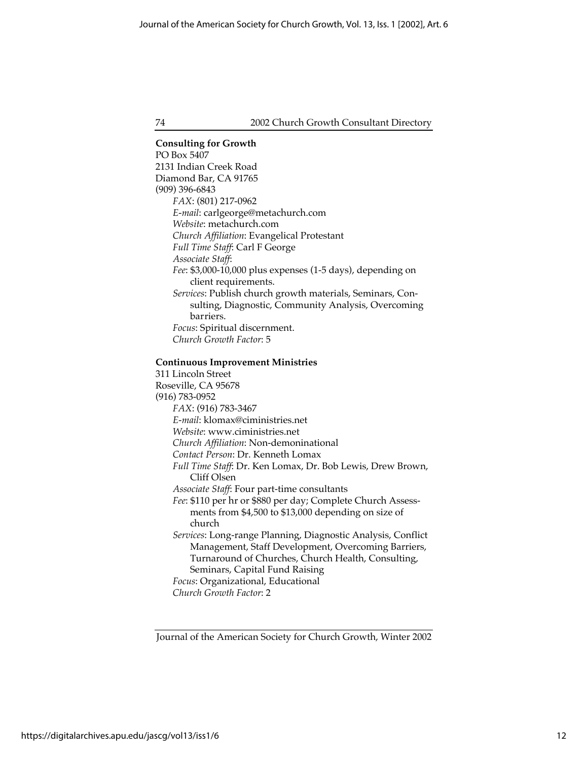**Consulting for Growth** PO Box 5407 2131 Indian Creek Road Diamond Bar, CA 91765 (909) 396-6843 *FAX*: (801) 217-0962 *E-mail*: carlgeorge@metachurch.com *Website*: metachurch.com *Church Affiliation*: Evangelical Protestant *Full Time Staff*: Carl F George *Associate Staff*: *Fee*: \$3,000-10,000 plus expenses (1-5 days), depending on client requirements. *Services*: Publish church growth materials, Seminars, Consulting, Diagnostic, Community Analysis, Overcoming barriers. *Focus*: Spiritual discernment. *Church Growth Factor*: 5

#### **Continuous Improvement Ministries**

311 Lincoln Street Roseville, CA 95678 (916) 783-0952 *FAX*: (916) 783-3467 *E-mail*: klomax@ciministries.net *Website*: www.ciministries.net *Church Affiliation*: Non-demoninational *Contact Person*: Dr. Kenneth Lomax *Full Time Staff*: Dr. Ken Lomax, Dr. Bob Lewis, Drew Brown, Cliff Olsen *Associate Staff*: Four part-time consultants *Fee*: \$110 per hr or \$880 per day; Complete Church Assessments from \$4,500 to \$13,000 depending on size of church *Services*: Long-range Planning, Diagnostic Analysis, Conflict Management, Staff Development, Overcoming Barriers, Turnaround of Churches, Church Health, Consulting, Seminars, Capital Fund Raising *Focus*: Organizational, Educational *Church Growth Factor*: 2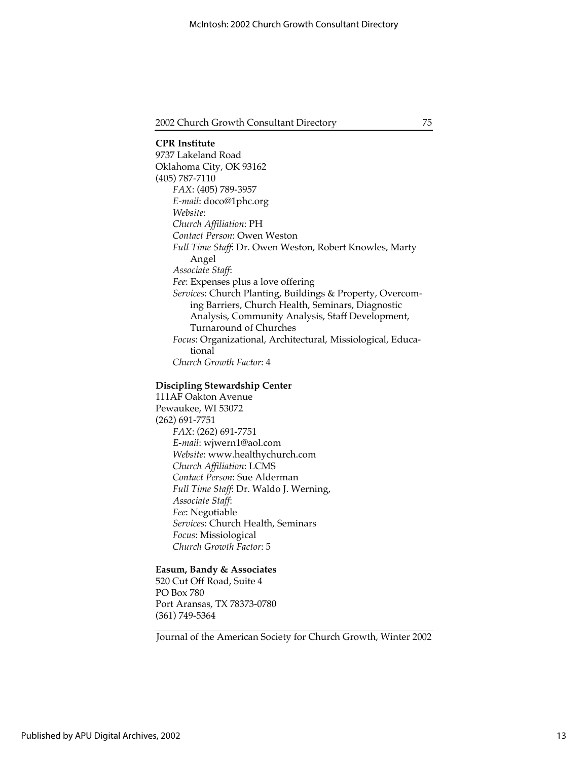**CPR Institute** 9737 Lakeland Road Oklahoma City, OK 93162 (405) 787-7110 *FAX*: (405) 789-3957 *E-mail*: doco@1phc.org *Website*: *Church Affiliation*: PH *Contact Person*: Owen Weston *Full Time Staff*: Dr. Owen Weston, Robert Knowles, Marty Angel *Associate Staff*: *Fee*: Expenses plus a love offering *Services*: Church Planting, Buildings & Property, Overcoming Barriers, Church Health, Seminars, Diagnostic Analysis, Community Analysis, Staff Development, Turnaround of Churches *Focus*: Organizational, Architectural, Missiological, Educational *Church Growth Factor*: 4

#### **Discipling Stewardship Center**

111AF Oakton Avenue Pewaukee, WI 53072 (262) 691-7751 *FAX*: (262) 691-7751 *E-mail*: wjwern1@aol.com *Website*: www.healthychurch.com *Church Affiliation*: LCMS *Contact Person*: Sue Alderman *Full Time Staff*: Dr. Waldo J. Werning, *Associate Staff*: *Fee*: Negotiable *Services*: Church Health, Seminars *Focus*: Missiological *Church Growth Factor*: 5

#### **Easum, Bandy & Associates**

520 Cut Off Road, Suite 4 PO Box 780 Port Aransas, TX 78373-0780 (361) 749-5364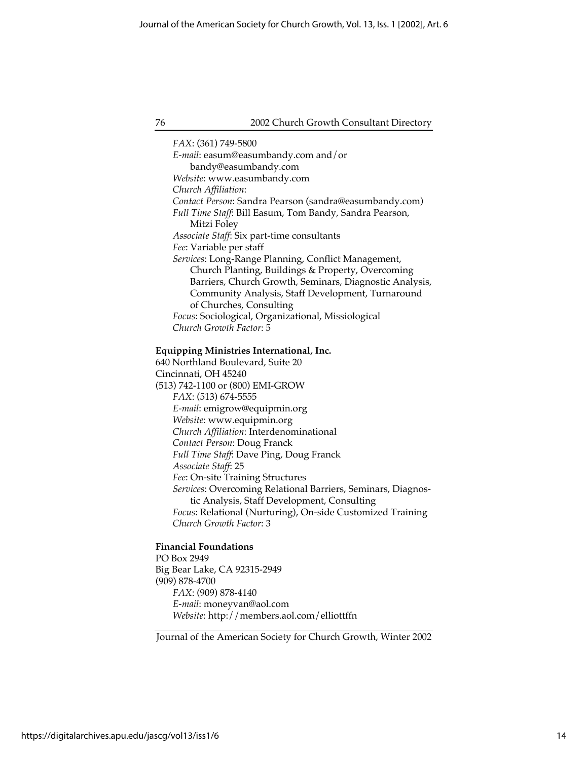*FAX*: (361) 749-5800 *E-mail*: easum@easumbandy.com and/or bandy@easumbandy.com *Website*: www.easumbandy.com *Church Affiliation*: *Contact Person*: Sandra Pearson (sandra@easumbandy.com) *Full Time Staff*: Bill Easum, Tom Bandy, Sandra Pearson, Mitzi Foley *Associate Staff*: Six part-time consultants *Fee*: Variable per staff *Services*: Long-Range Planning, Conflict Management, Church Planting, Buildings & Property, Overcoming Barriers, Church Growth, Seminars, Diagnostic Analysis, Community Analysis, Staff Development, Turnaround of Churches, Consulting *Focus*: Sociological, Organizational, Missiological *Church Growth Factor*: 5

#### **Equipping Ministries International, Inc.**

640 Northland Boulevard, Suite 20 Cincinnati, OH 45240 (513) 742-1100 or (800) EMI-GROW *FAX*: (513) 674-5555 *E-mail*: emigrow@equipmin.org *Website*: www.equipmin.org *Church Affiliation*: Interdenominational *Contact Person*: Doug Franck *Full Time Staff*: Dave Ping, Doug Franck *Associate Staff*: 25 *Fee*: On-site Training Structures *Services*: Overcoming Relational Barriers, Seminars, Diagnostic Analysis, Staff Development, Consulting *Focus*: Relational (Nurturing), On-side Customized Training *Church Growth Factor*: 3

#### **Financial Foundations**

PO Box 2949 Big Bear Lake, CA 92315-2949 (909) 878-4700 *FAX*: (909) 878-4140 *E-mail*: moneyvan@aol.com *Website*: http://members.aol.com/elliottffn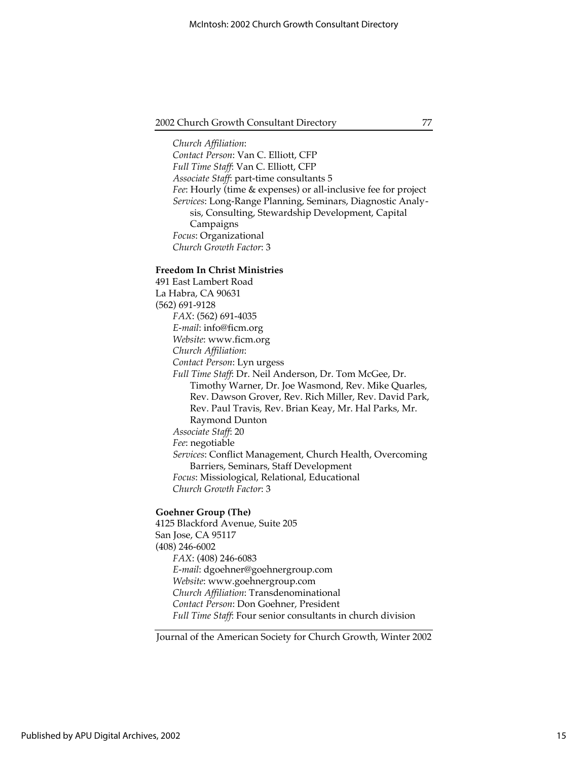*Church Affiliation*: *Contact Person*: Van C. Elliott, CFP *Full Time Staff*: Van C. Elliott, CFP *Associate Staff*: part-time consultants 5 *Fee*: Hourly (time & expenses) or all-inclusive fee for project *Services*: Long-Range Planning, Seminars, Diagnostic Analysis, Consulting, Stewardship Development, Capital Campaigns *Focus*: Organizational *Church Growth Factor*: 3

## **Freedom In Christ Ministries**

491 East Lambert Road La Habra, CA 90631 (562) 691-9128 *FAX*: (562) 691-4035 *E-mail*: info@ficm.org *Website*: www.ficm.org *Church Affiliation*: *Contact Person*: Lyn urgess *Full Time Staff*: Dr. Neil Anderson, Dr. Tom McGee, Dr. Timothy Warner, Dr. Joe Wasmond, Rev. Mike Quarles, Rev. Dawson Grover, Rev. Rich Miller, Rev. David Park, Rev. Paul Travis, Rev. Brian Keay, Mr. Hal Parks, Mr. Raymond Dunton *Associate Staff*: 20 *Fee*: negotiable *Services*: Conflict Management, Church Health, Overcoming Barriers, Seminars, Staff Development *Focus*: Missiological, Relational, Educational *Church Growth Factor*: 3

## **Goehner Group (The)**

4125 Blackford Avenue, Suite 205 San Jose, CA 95117 (408) 246-6002 *FAX*: (408) 246-6083 *E-mail*: dgoehner@goehnergroup.com *Website*: www.goehnergroup.com *Church Affiliation*: Transdenominational *Contact Person*: Don Goehner, President *Full Time Staff*: Four senior consultants in church division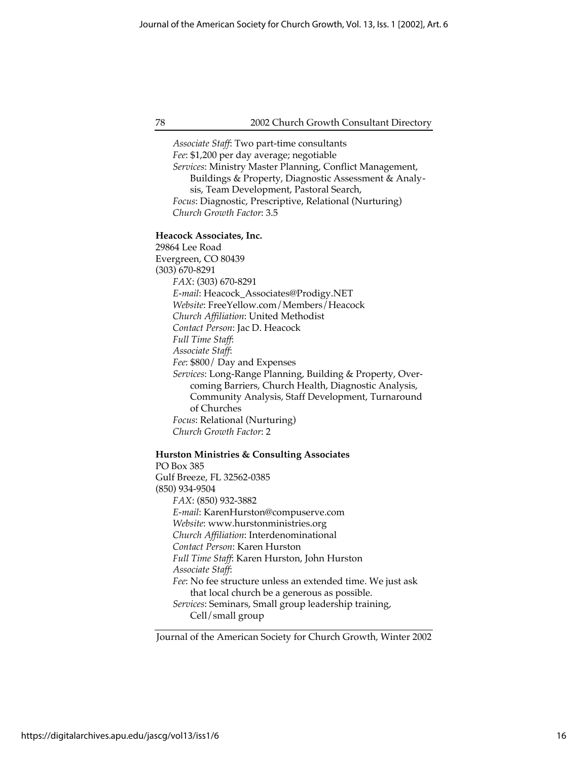*Associate Staff*: Two part-time consultants *Fee*: \$1,200 per day average; negotiable *Services*: Ministry Master Planning, Conflict Management, Buildings & Property, Diagnostic Assessment & Analysis, Team Development, Pastoral Search, *Focus*: Diagnostic, Prescriptive, Relational (Nurturing) *Church Growth Factor*: 3.5

#### **Heacock Associates, Inc.**

29864 Lee Road Evergreen, CO 80439 (303) 670-8291 *FAX*: (303) 670-8291 *E-mail*: Heacock\_Associates@Prodigy.NET *Website*: FreeYellow.com/Members/Heacock *Church Affiliation*: United Methodist *Contact Person*: Jac D. Heacock *Full Time Staff*: *Associate Staff*: *Fee*: \$800/ Day and Expenses *Services*: Long-Range Planning, Building & Property, Overcoming Barriers, Church Health, Diagnostic Analysis, Community Analysis, Staff Development, Turnaround of Churches *Focus*: Relational (Nurturing) *Church Growth Factor*: 2

#### **Hurston Ministries & Consulting Associates**

PO Box 385 Gulf Breeze, FL 32562-0385 (850) 934-9504 *FAX*: (850) 932-3882 *E-mail*: KarenHurston@compuserve.com *Website*: www.hurstonministries.org *Church Affiliation*: Interdenominational *Contact Person*: Karen Hurston *Full Time Staff*: Karen Hurston, John Hurston *Associate Staff*: *Fee*: No fee structure unless an extended time. We just ask that local church be a generous as possible. *Services*: Seminars, Small group leadership training, Cell/small group

Journal of the American Society for Church Growth, Winter 2002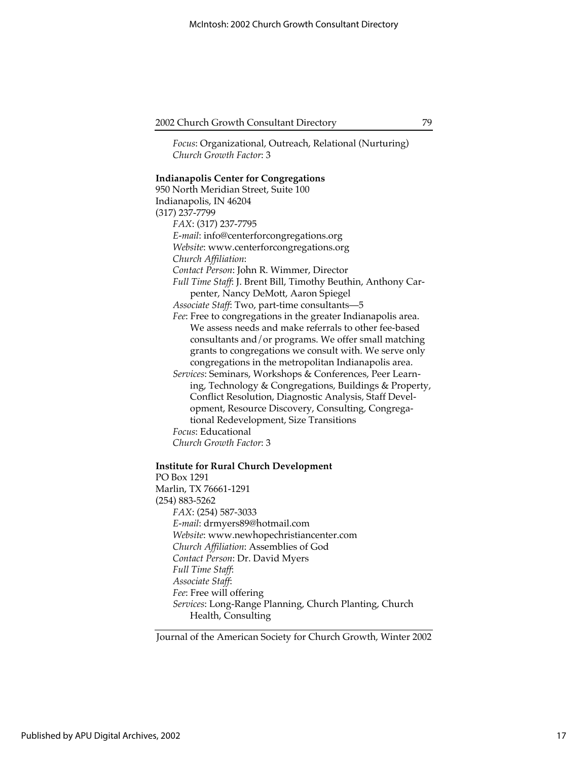*Focus*: Organizational, Outreach, Relational (Nurturing) *Church Growth Factor*: 3

## **Indianapolis Center for Congregations**

950 North Meridian Street, Suite 100 Indianapolis, IN 46204 (317) 237-7799 *FAX*: (317) 237-7795 *E-mail*: info@centerforcongregations.org *Website*: www.centerforcongregations.org *Church Affiliation*: *Contact Person*: John R. Wimmer, Director *Full Time Staff*: J. Brent Bill, Timothy Beuthin, Anthony Carpenter, Nancy DeMott, Aaron Spiegel *Associate Staff*: Two, part-time consultants—5 *Fee*: Free to congregations in the greater Indianapolis area. We assess needs and make referrals to other fee-based consultants and/or programs. We offer small matching grants to congregations we consult with. We serve only congregations in the metropolitan Indianapolis area. *Services*: Seminars, Workshops & Conferences, Peer Learning, Technology & Congregations, Buildings & Property, Conflict Resolution, Diagnostic Analysis, Staff Development, Resource Discovery, Consulting, Congregational Redevelopment, Size Transitions *Focus*: Educational *Church Growth Factor*: 3

## **Institute for Rural Church Development**

PO Box 1291 Marlin, TX 76661-1291 (254) 883-5262 *FAX*: (254) 587-3033 *E-mail*: drmyers89@hotmail.com *Website*: www.newhopechristiancenter.com *Church Affiliation*: Assemblies of God *Contact Person*: Dr. David Myers *Full Time Staff*: *Associate Staff*: *Fee*: Free will offering *Services*: Long-Range Planning, Church Planting, Church Health, Consulting

Journal of the American Society for Church Growth, Winter 2002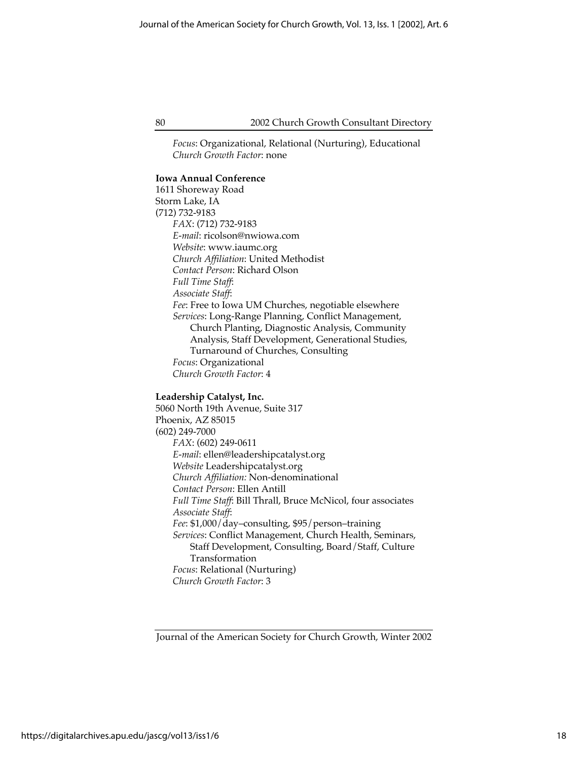*Focus*: Organizational, Relational (Nurturing), Educational *Church Growth Factor*: none

## **Iowa Annual Conference**

1611 Shoreway Road Storm Lake, IA (712) 732-9183 *FAX*: (712) 732-9183 *E-mail*: ricolson@nwiowa.com *Website*: www.iaumc.org *Church Affiliation*: United Methodist *Contact Person*: Richard Olson *Full Time Staff*: *Associate Staff*: *Fee*: Free to Iowa UM Churches, negotiable elsewhere *Services*: Long-Range Planning, Conflict Management, Church Planting, Diagnostic Analysis, Community Analysis, Staff Development, Generational Studies, Turnaround of Churches, Consulting *Focus*: Organizational *Church Growth Factor*: 4

#### **Leadership Catalyst, Inc.**

5060 North 19th Avenue, Suite 317 Phoenix, AZ 85015 (602) 249-7000 *FAX*: (602) 249-0611 *E-mail*: ellen@leadershipcatalyst.org *Website* Leadershipcatalyst.org *Church Affiliation:* Non-denominational *Contact Person*: Ellen Antill *Full Time Staff*: Bill Thrall, Bruce McNicol, four associates *Associate Staff*: *Fee*: \$1,000/day–consulting, \$95/person–training *Services*: Conflict Management, Church Health, Seminars, Staff Development, Consulting, Board/Staff, Culture Transformation *Focus*: Relational (Nurturing) *Church Growth Factor*: 3

Journal of the American Society for Church Growth, Winter 2002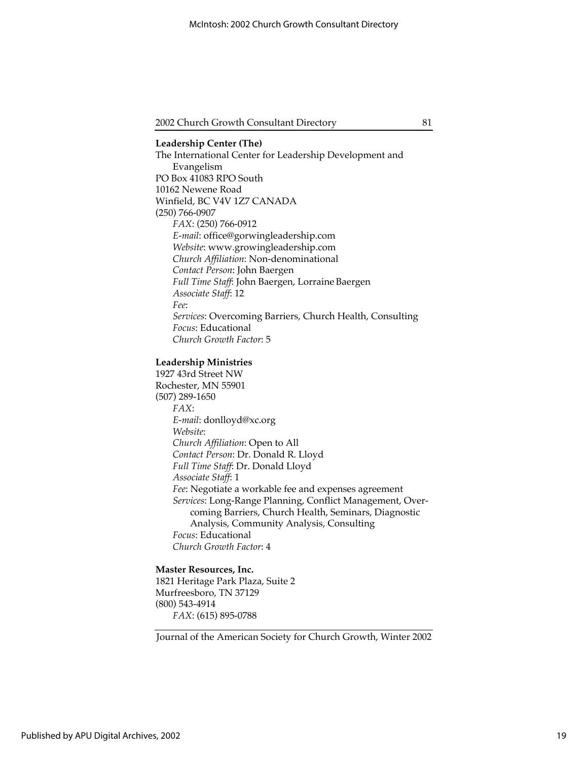**Leadership Center (The)** The International Center for Leadership Development and Evangelism PO Box 41083 RPO South 10162 Newene Road Winfield, BC V4V 1Z7 CANADA (250) 766-0907 *FAX*: (250) 766-0912 *E-mail*: office@gorwingleadership.com *Website*: www.growingleadership.com *Church Affiliation*: Non-denominational *Contact Person*: John Baergen *Full Time Staff*: John Baergen, Lorraine Baergen *Associate Staff*: 12 *Fee*: *Services*: Overcoming Barriers, Church Health, Consulting *Focus*: Educational *Church Growth Factor*: 5

#### **Leadership Ministries**

1927 43rd Street NW Rochester, MN 55901 (507) 289-1650 *FAX*: *E-mail*: donlloyd@xc.org *Website*: *Church Affiliation*: Open to All *Contact Person*: Dr. Donald R. Lloyd *Full Time Staff*: Dr. Donald Lloyd *Associate Staff*: 1 *Fee*: Negotiate a workable fee and expenses agreement *Services*: Long-Range Planning, Conflict Management, Overcoming Barriers, Church Health, Seminars, Diagnostic Analysis, Community Analysis, Consulting *Focus*: Educational *Church Growth Factor*: 4

## **Master Resources, Inc.**

1821 Heritage Park Plaza, Suite 2 Murfreesboro, TN 37129 (800) 543-4914 *FAX*: (615) 895-0788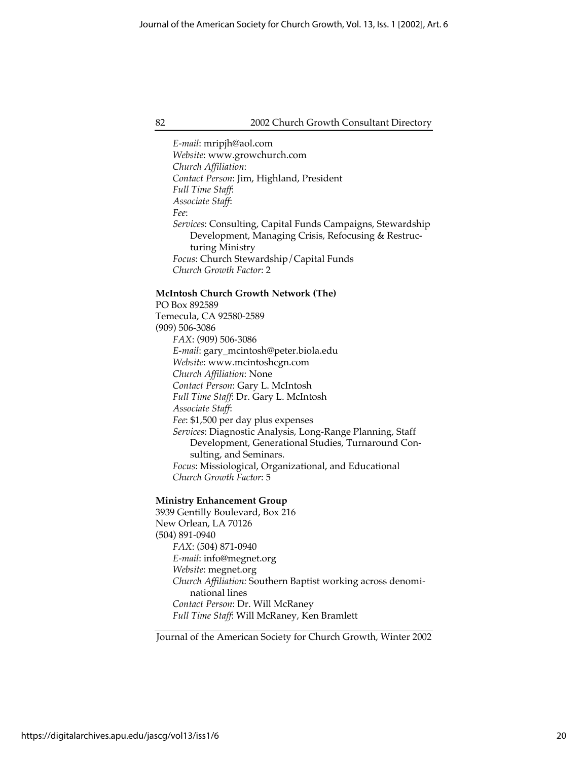*E-mail*: mripjh@aol.com *Website*: www.growchurch.com *Church Affiliation*: *Contact Person*: Jim, Highland, President *Full Time Staff*: *Associate Staff*: *Fee*: *Services*: Consulting, Capital Funds Campaigns, Stewardship Development, Managing Crisis, Refocusing & Restructuring Ministry *Focus*: Church Stewardship/Capital Funds *Church Growth Factor*: 2

#### **McIntosh Church Growth Network (The)**

PO Box 892589 Temecula, CA 92580-2589 (909) 506-3086 *FAX*: (909) 506-3086 *E-mail*: gary\_mcintosh@peter.biola.edu *Website*: www.mcintoshcgn.com *Church Affiliation*: None *Contact Person*: Gary L. McIntosh *Full Time Staff*: Dr. Gary L. McIntosh *Associate Staff*: *Fee*: \$1,500 per day plus expenses *Services*: Diagnostic Analysis, Long-Range Planning, Staff Development, Generational Studies, Turnaround Consulting, and Seminars. *Focus*: Missiological, Organizational, and Educational *Church Growth Factor*: 5

#### **Ministry Enhancement Group**

3939 Gentilly Boulevard, Box 216 New Orlean, LA 70126 (504) 891-0940 *FAX*: (504) 871-0940 *E-mail*: info@megnet.org *Website*: megnet.org *Church Affiliation:* Southern Baptist working across denominational lines *Contact Person*: Dr. Will McRaney *Full Time Staff*: Will McRaney, Ken Bramlett

Journal of the American Society for Church Growth, Winter 2002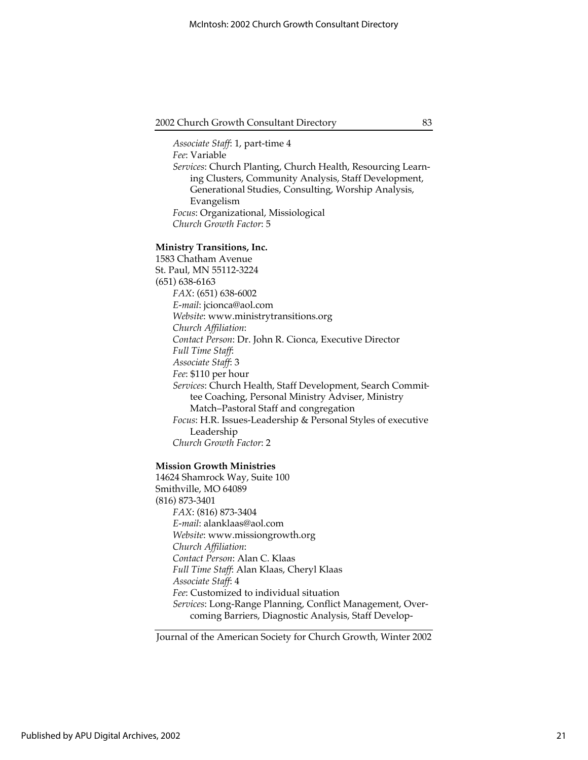*Associate Staff*: 1, part-time 4 *Fee*: Variable *Services*: Church Planting, Church Health, Resourcing Learning Clusters, Community Analysis, Staff Development, Generational Studies, Consulting, Worship Analysis, Evangelism *Focus*: Organizational, Missiological *Church Growth Factor*: 5

#### **Ministry Transitions, Inc.**

1583 Chatham Avenue St. Paul, MN 55112-3224 (651) 638-6163 *FAX*: (651) 638-6002 *E-mail*: jcionca@aol.com *Website*: www.ministrytransitions.org *Church Affiliation*: *Contact Person*: Dr. John R. Cionca, Executive Director *Full Time Staff*: *Associate Staff*: 3 *Fee*: \$110 per hour *Services*: Church Health, Staff Development, Search Committee Coaching, Personal Ministry Adviser, Ministry Match–Pastoral Staff and congregation *Focus*: H.R. Issues-Leadership & Personal Styles of executive Leadership *Church Growth Factor*: 2

#### **Mission Growth Ministries**

14624 Shamrock Way, Suite 100 Smithville, MO 64089 (816) 873-3401 *FAX*: (816) 873-3404 *E-mail*: alanklaas@aol.com *Website*: www.missiongrowth.org *Church Affiliation*: *Contact Person*: Alan C. Klaas *Full Time Staff*: Alan Klaas, Cheryl Klaas *Associate Staff*: 4 *Fee*: Customized to individual situation *Services*: Long-Range Planning, Conflict Management, Overcoming Barriers, Diagnostic Analysis, Staff Develop-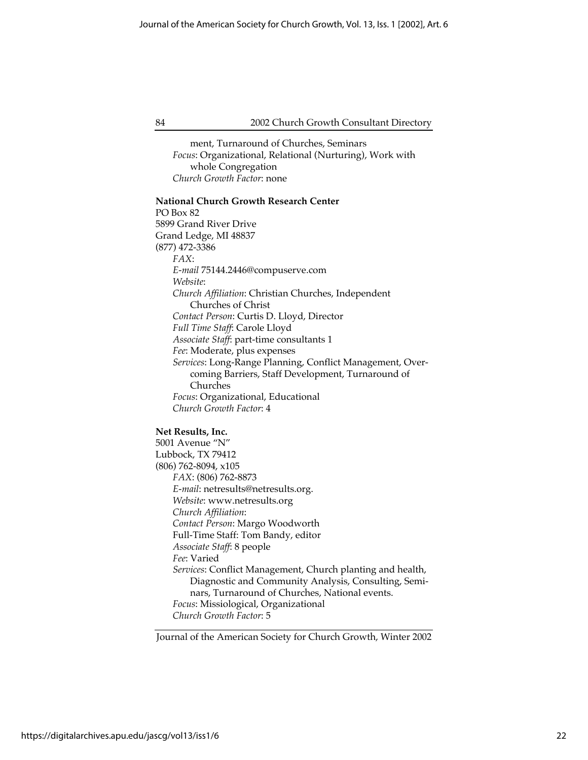ment, Turnaround of Churches, Seminars *Focus*: Organizational, Relational (Nurturing), Work with whole Congregation *Church Growth Factor*: none

#### **National Church Growth Research Center**

PO Box 82 5899 Grand River Drive Grand Ledge, MI 48837 (877) 472-3386 *FAX*: *E-mail* 75144.2446@compuserve.com *Website*: *Church Affiliation*: Christian Churches, Independent Churches of Christ *Contact Person*: Curtis D. Lloyd, Director *Full Time Staff*: Carole Lloyd *Associate Staff*: part-time consultants 1 *Fee*: Moderate, plus expenses *Services*: Long-Range Planning, Conflict Management, Overcoming Barriers, Staff Development, Turnaround of Churches *Focus*: Organizational, Educational *Church Growth Factor*: 4

## **Net Results, Inc.**

5001 Avenue "N" Lubbock, TX 79412 (806) 762-8094, x105 *FAX*: (806) 762-8873 *E-mail*: netresults@netresults.org. *Website*: www.netresults.org *Church Affiliation*: *Contact Person*: Margo Woodworth Full-Time Staff: Tom Bandy, editor *Associate Staff*: 8 people *Fee*: Varied *Services*: Conflict Management, Church planting and health, Diagnostic and Community Analysis, Consulting, Seminars, Turnaround of Churches, National events. *Focus*: Missiological, Organizational *Church Growth Factor*: 5

Journal of the American Society for Church Growth, Winter 2002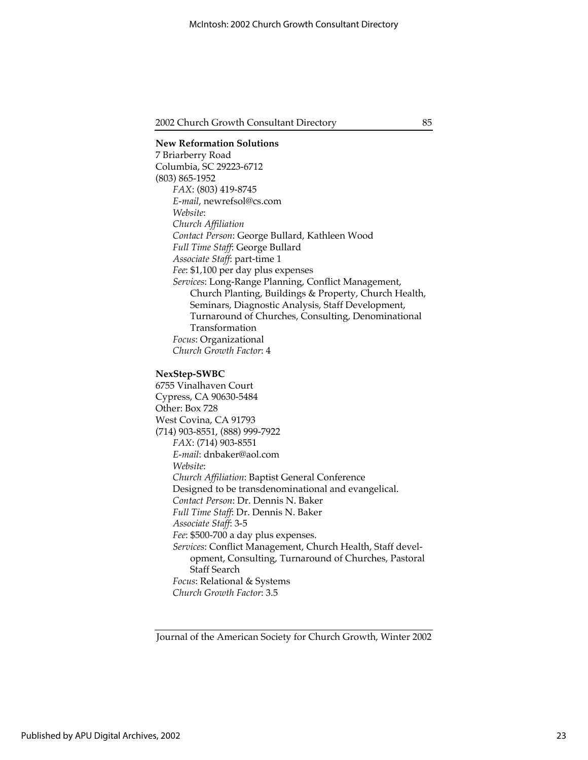**New Reformation Solutions** 7 Briarberry Road Columbia, SC 29223-6712 (803) 865-1952 *FAX*: (803) 419-8745 *E-mail*, newrefsol@cs.com *Website*: *Church Affiliation Contact Person*: George Bullard, Kathleen Wood *Full Time Staff*: George Bullard *Associate Staff*: part-time 1 *Fee*: \$1,100 per day plus expenses *Services*: Long-Range Planning, Conflict Management, Church Planting, Buildings & Property, Church Health, Seminars, Diagnostic Analysis, Staff Development, Turnaround of Churches, Consulting, Denominational Transformation *Focus*: Organizational *Church Growth Factor*: 4 **NexStep-SWBC** 6755 Vinalhaven Court Cypress, CA 90630-5484 Other: Box 728 West Covina, CA 91793 (714) 903-8551, (888) 999-7922

*FAX*: (714) 903-8551 *E-mail*: dnbaker@aol.com *Website*: *Church Affiliation*: Baptist General Conference Designed to be transdenominational and evangelical. *Contact Person*: Dr. Dennis N. Baker *Full Time Staff*: Dr. Dennis N. Baker *Associate Staff*: 3-5 *Fee*: \$500-700 a day plus expenses. *Services*: Conflict Management, Church Health, Staff development, Consulting, Turnaround of Churches, Pastoral Staff Search *Focus*: Relational & Systems

*Church Growth Factor*: 3.5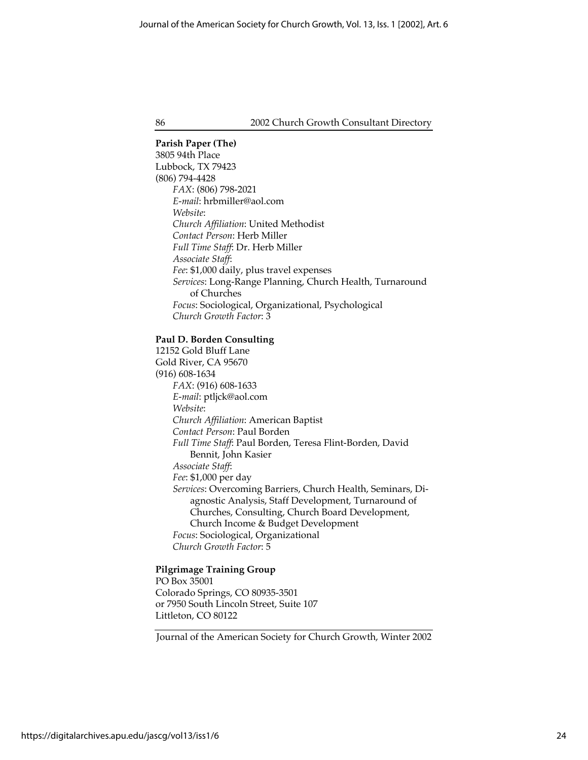#### **Parish Paper (The)**

3805 94th Place Lubbock, TX 79423 (806) 794-4428 *FAX*: (806) 798-2021 *E-mail*: hrbmiller@aol.com *Website*: *Church Affiliation*: United Methodist *Contact Person*: Herb Miller *Full Time Staff*: Dr. Herb Miller *Associate Staff*: *Fee*: \$1,000 daily, plus travel expenses *Services*: Long-Range Planning, Church Health, Turnaround of Churches *Focus*: Sociological, Organizational, Psychological *Church Growth Factor*: 3

#### **Paul D. Borden Consulting**

12152 Gold Bluff Lane Gold River, CA 95670 (916) 608-1634 *FAX*: (916) 608-1633 *E-mail*: ptljck@aol.com *Website*: *Church Affiliation*: American Baptist *Contact Person*: Paul Borden *Full Time Staff*: Paul Borden, Teresa Flint-Borden, David Bennit, John Kasier *Associate Staff*: *Fee*: \$1,000 per day *Services*: Overcoming Barriers, Church Health, Seminars, Diagnostic Analysis, Staff Development, Turnaround of Churches, Consulting, Church Board Development, Church Income & Budget Development *Focus*: Sociological, Organizational *Church Growth Factor*: 5

## **Pilgrimage Training Group**

PO Box 35001 Colorado Springs, CO 80935-3501 or 7950 South Lincoln Street, Suite 107 Littleton, CO 80122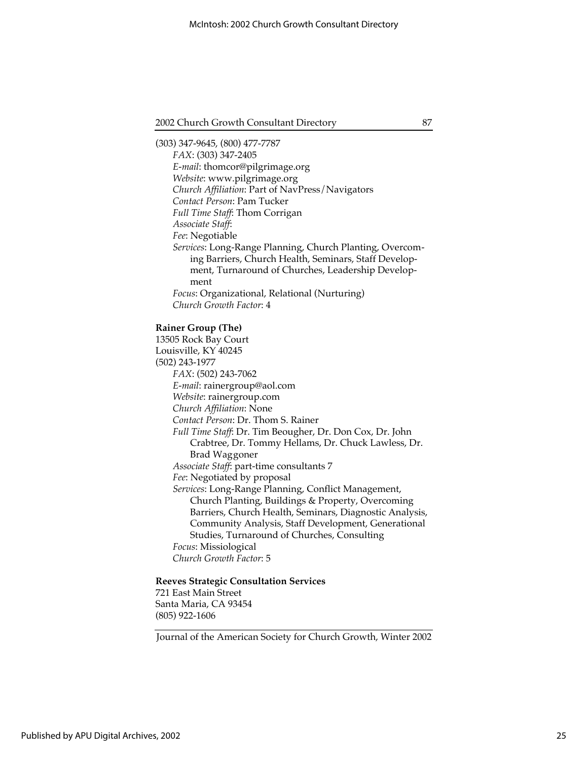(303) 347-9645, (800) 477-7787 *FAX*: (303) 347-2405 *E-mail*: thomcor@pilgrimage.org *Website*: www.pilgrimage.org *Church Affiliation*: Part of NavPress/Navigators *Contact Person*: Pam Tucker *Full Time Staff*: Thom Corrigan *Associate Staff*: *Fee*: Negotiable *Services*: Long-Range Planning, Church Planting, Overcoming Barriers, Church Health, Seminars, Staff Development, Turnaround of Churches, Leadership Development *Focus*: Organizational, Relational (Nurturing) *Church Growth Factor*: 4

**Rainer Group (The)**

13505 Rock Bay Court Louisville, KY 40245 (502) 243-1977 *FAX*: (502) 243-7062 *E-mail*: rainergroup@aol.com *Website*: rainergroup.com *Church Affiliation*: None *Contact Person*: Dr. Thom S. Rainer *Full Time Staff*: Dr. Tim Beougher, Dr. Don Cox, Dr. John Crabtree, Dr. Tommy Hellams, Dr. Chuck Lawless, Dr. Brad Waggoner *Associate Staff*: part-time consultants 7 *Fee*: Negotiated by proposal *Services*: Long-Range Planning, Conflict Management, Church Planting, Buildings & Property, Overcoming Barriers, Church Health, Seminars, Diagnostic Analysis, Community Analysis, Staff Development, Generational Studies, Turnaround of Churches, Consulting *Focus*: Missiological *Church Growth Factor*: 5

## **Reeves Strategic Consultation Services**

721 East Main Street Santa Maria, CA 93454 (805) 922-1606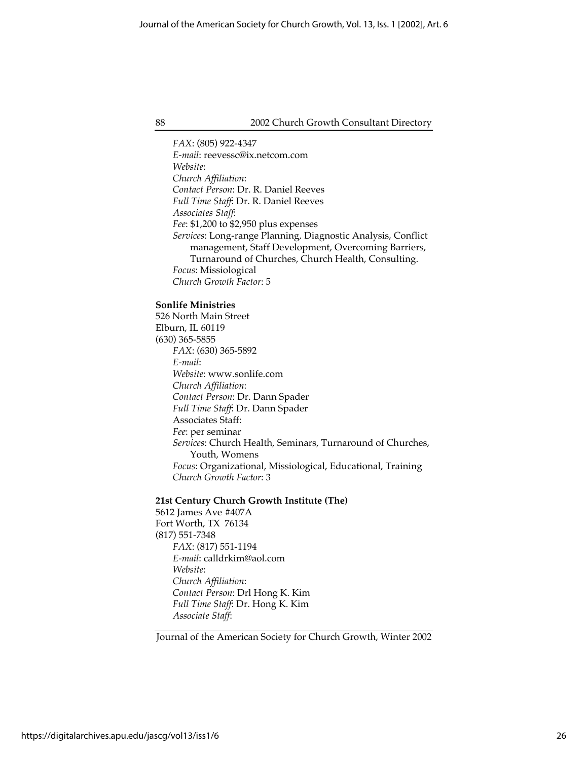*FAX*: (805) 922-4347 *E-mail*: reevessc@ix.netcom.com *Website*: *Church Affiliation*: *Contact Person*: Dr. R. Daniel Reeves *Full Time Staff*: Dr. R. Daniel Reeves *Associates Staff*: *Fee*: \$1,200 to \$2,950 plus expenses *Services*: Long-range Planning, Diagnostic Analysis, Conflict management, Staff Development, Overcoming Barriers, Turnaround of Churches, Church Health, Consulting. *Focus*: Missiological *Church Growth Factor*: 5

## **Sonlife Ministries**

526 North Main Street Elburn, IL 60119 (630) 365-5855 *FAX*: (630) 365-5892 *E-mail*: *Website*: www.sonlife.com *Church Affiliation*: *Contact Person*: Dr. Dann Spader *Full Time Staff*: Dr. Dann Spader Associates Staff: *Fee*: per seminar *Services*: Church Health, Seminars, Turnaround of Churches, Youth, Womens *Focus*: Organizational, Missiological, Educational, Training *Church Growth Factor*: 3

## **21st Century Church Growth Institute (The)**

5612 James Ave #407A Fort Worth, TX 76134 (817) 551-7348 *FAX*: (817) 551-1194 *E-mail*: calldrkim@aol.com *Website*: *Church Affiliation*: *Contact Person*: Drl Hong K. Kim *Full Time Staff*: Dr. Hong K. Kim *Associate Staff*: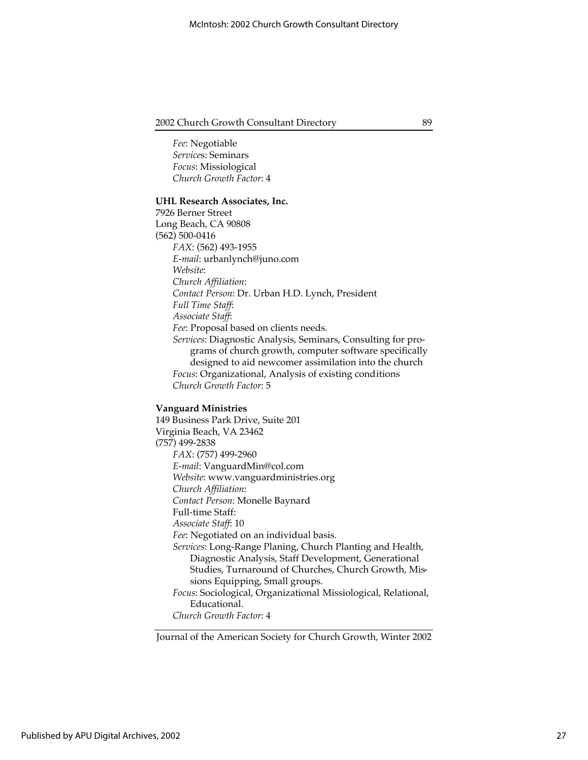*Fee*: Negotiable *Service*s: Seminars *Focus*: Missiological *Church Growth Factor*: 4

#### **UHL Research Associates, Inc.**

7926 Berner Street Long Beach, CA 90808 (562) 500-0416 *FAX*: (562) 493-1955 *E-mail*: urbanlynch@juno.com *Website*: *Church Affiliation*: *Contact Person*: Dr. Urban H.D. Lynch, President *Full Time Staff*: *Associate Staff*: *Fee*: Proposal based on clients needs. *Services*: Diagnostic Analysis, Seminars, Consulting for programs of church growth, computer software specifically designed to aid newcomer assimilation into the church *Focus*: Organizational, Analysis of existing conditions *Church Growth Factor*: 5

#### **Vanguard Ministries**

149 Business Park Drive, Suite 201 Virginia Beach, VA 23462 (757) 499-2838 *FAX*: (757) 499-2960 *E-mail*: VanguardMin@col.com *Website*: www.vanguardministries.org *Church Affiliation*: *Contact Person*: Monelle Baynard Full-time Staff: *Associate Staff*: 10 *Fee*: Negotiated on an individual basis. *Services*: Long-Range Planing, Church Planting and Health, Diagnostic Analysis, Staff Development, Generational Studies, Turnaround of Churches, Church Growth, Missions Equipping, Small groups. *Focus*: Sociological, Organizational Missiological, Relational, Educational. *Church Growth Factor*: 4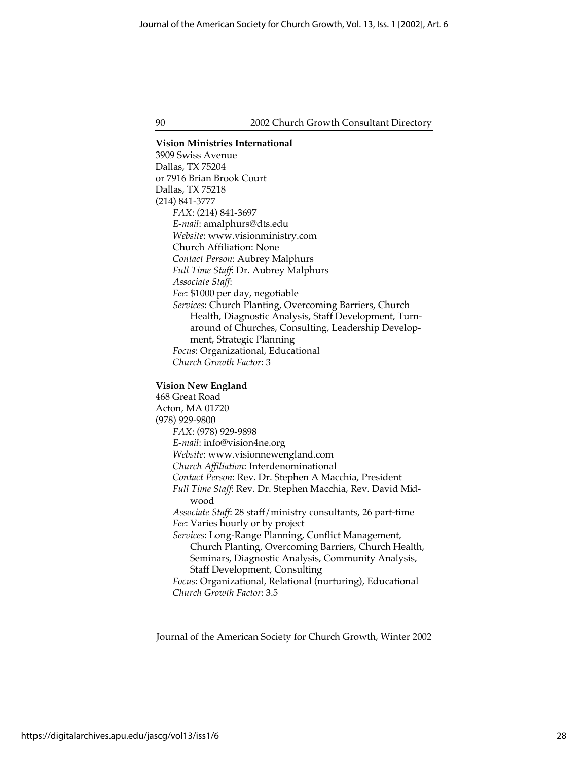**Vision Ministries International** 3909 Swiss Avenue Dallas, TX 75204 or 7916 Brian Brook Court Dallas, TX 75218 (214) 841-3777 *FAX*: (214) 841-3697 *E-mail*: amalphurs@dts.edu *Website*: www.visionministry.com Church Affiliation: None *Contact Person*: Aubrey Malphurs *Full Time Staff*: Dr. Aubrey Malphurs *Associate Staff*: *Fee*: \$1000 per day, negotiable *Services*: Church Planting, Overcoming Barriers, Church Health, Diagnostic Analysis, Staff Development, Turnaround of Churches, Consulting, Leadership Development, Strategic Planning *Focus*: Organizational, Educational *Church Growth Factor*: 3 **Vision New England** 468 Great Road Acton, MA 01720 (978) 929-9800

*FAX*: (978) 929-9898 *E-mail*: info@vision4ne.org *Website*: www.visionnewengland.com *Church Affiliation*: Interdenominational *Contact Person*: Rev. Dr. Stephen A Macchia, President *Full Time Staff*: Rev. Dr. Stephen Macchia, Rev. David Midwood *Associate Staff*: 28 staff/ministry consultants, 26 part-time *Fee*: Varies hourly or by project *Services*: Long-Range Planning, Conflict Management, Church Planting, Overcoming Barriers, Church Health,

Seminars, Diagnostic Analysis, Community Analysis, Staff Development, Consulting *Focus*: Organizational, Relational (nurturing), Educational

*Church Growth Factor*: 3.5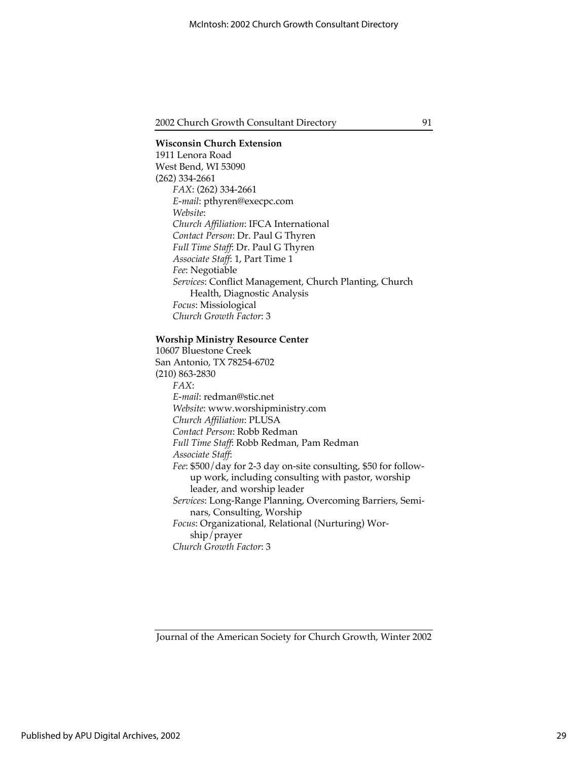## **Wisconsin Church Extension** 1911 Lenora Road West Bend, WI 53090 (262) 334-2661 *FAX*: (262) 334-2661 *E-mail*: pthyren@execpc.com *Website*: *Church Affiliation*: IFCA International *Contact Person*: Dr. Paul G Thyren *Full Time Staff*: Dr. Paul G Thyren *Associate Staff*: 1, Part Time 1 *Fee*: Negotiable *Services*: Conflict Management, Church Planting, Church Health, Diagnostic Analysis *Focus*: Missiological *Church Growth Factor*: 3

#### **Worship Ministry Resource Center**

10607 Bluestone Creek San Antonio, TX 78254-6702 (210) 863-2830 *FAX*: *E-mail*: redman@stic.net *Website*: www.worshipministry.com *Church Affiliation*: PLUSA *Contact Person*: Robb Redman *Full Time Staff*: Robb Redman, Pam Redman *Associate Staff*: *Fee*: \$500/day for 2-3 day on-site consulting, \$50 for followup work, including consulting with pastor, worship leader, and worship leader *Services*: Long-Range Planning, Overcoming Barriers, Seminars, Consulting, Worship *Focus*: Organizational, Relational (Nurturing) Worship/prayer *Church Growth Factor*: 3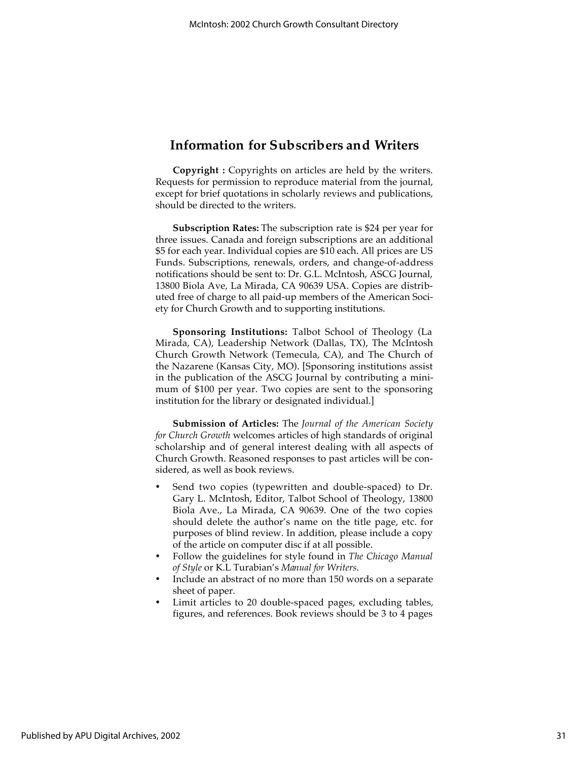## **Information for Subscribers and Writers**

**Copyright :** Copyrights on articles are held by the writers. Requests for permission to reproduce material from the journal, except for brief quotations in scholarly reviews and publications, should be directed to the writers.

**Subscription Rates:** The subscription rate is \$24 per year for three issues. Canada and foreign subscriptions are an additional \$5 for each year. Individual copies are \$10 each. All prices are US Funds. Subscriptions, renewals, orders, and change-of-address notifications should be sent to: Dr. G.L. McIntosh, ASCG Journal, 13800 Biola Ave, La Mirada, CA 90639 USA. Copies are distributed free of charge to all paid-up members of the American Society for Church Growth and to supporting institutions.

**Sponsoring Institutions:** Talbot School of Theology (La Mirada, CA), Leadership Network (Dallas, TX), The McIntosh Church Growth Network (Temecula, CA), and The Church of the Nazarene (Kansas City, MO). [Sponsoring institutions assist in the publication of the ASCG Journal by contributing a minimum of \$100 per year. Two copies are sent to the sponsoring institution for the library or designated individual.]

**Submission of Articles:** The *Journal of the American Society for Church Growth* welcomes articles of high standards of original scholarship and of general interest dealing with all aspects of Church Growth. Reasoned responses to past articles will be considered, as well as book reviews.

Send two copies (typewritten and double-spaced) to Dr. Gary L. McIntosh, Editor, Talbot School of Theology, 13800 Biola Ave., La Mirada, CA 90639. One of the two copies should delete the author's name on the title page, etc. for purposes of blind review. In addition, please include a copy of the article on computer disc if at all possible.

Follow the guidelines for style found in *The Chicago Manual of Style* or K.L Turabian's *Manual for Writers*.

Include an abstract of no more than 150 words on a separate sheet of paper.

Limit articles to 20 double-spaced pages, excluding tables, figures, and references. Book reviews should be 3 to 4 pages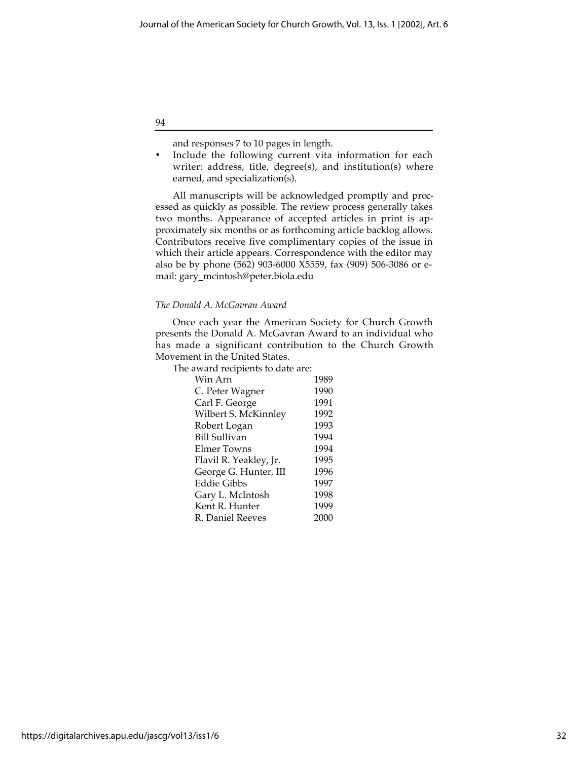and responses 7 to 10 pages in length.

Include the following current vita information for each writer: address, title, degree(s), and institution(s) where earned, and specialization(s).

All manuscripts will be acknowledged promptly and processed as quickly as possible. The review process generally takes two months. Appearance of accepted articles in print is approximately six months or as forthcoming article backlog allows. Contributors receive five complimentary copies of the issue in which their article appears. Correspondence with the editor may also be by phone (562) 903-6000 X5559, fax (909) 506-3086 or email: gary\_mcintosh@peter.biola.edu

#### *The Donald A. McGavran Award*

Once each year the American Society for Church Growth presents the Donald A. McGavran Award to an individual who has made a significant contribution to the Church Growth Movement in the United States.

The award recipients to date are:

| 1989 |
|------|
| 1990 |
| 1991 |
| 1992 |
| 1993 |
| 1994 |
| 1994 |
| 1995 |
| 1996 |
| 1997 |
| 1998 |
| 1999 |
| 2000 |
|      |

94